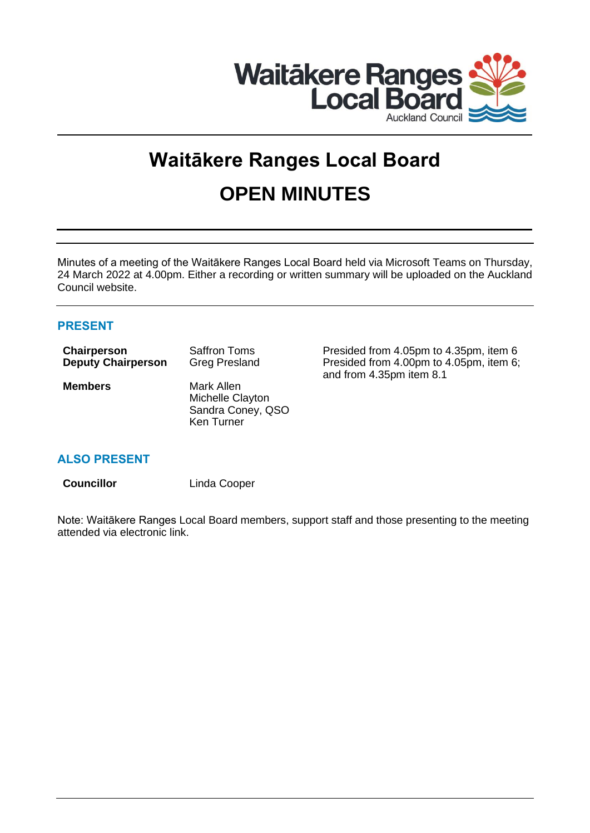

# **Waitākere Ranges Local Board OPEN MINUTES**

Minutes of a meeting of the Waitākere Ranges Local Board held via Microsoft Teams on Thursday, 24 March 2022 at 4.00pm. Either a recording or written summary will be uploaded on the Auckland Council website.

# **PRESENT**

| Chairperson               | <b>Saffron Toms</b>  |  |
|---------------------------|----------------------|--|
| <b>Deputy Chairperson</b> | <b>Greg Presland</b> |  |
| <b>Members</b>            | Mark Allen           |  |

Michelle Clayton Sandra Coney, QSO Ken Turner

Presided from 4.05pm to 4.35pm, item 6 Presided from 4.00pm to 4.05pm, item 6; and from 4.35pm item 8.1

# **ALSO PRESENT**

**Councillor** Linda Cooper

Note: Waitākere Ranges Local Board members, support staff and those presenting to the meeting attended via electronic link.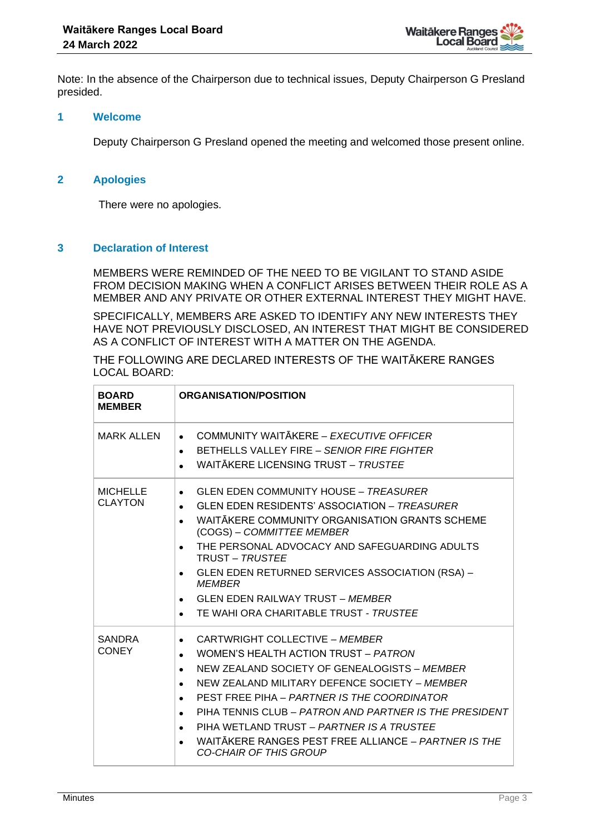Note: In the absence of the Chairperson due to technical issues, Deputy Chairperson G Presland presided.

### **1 Welcome**

Deputy Chairperson G Presland opened the meeting and welcomed those present online.

# **2 Apologies**

There were no apologies.

# **3 Declaration of Interest**

MEMBERS WERE REMINDED OF THE NEED TO BE VIGILANT TO STAND ASIDE FROM DECISION MAKING WHEN A CONFLICT ARISES BETWEEN THEIR ROLE AS A MEMBER AND ANY PRIVATE OR OTHER EXTERNAL INTEREST THEY MIGHT HAVE.

SPECIFICALLY, MEMBERS ARE ASKED TO IDENTIFY ANY NEW INTERESTS THEY HAVE NOT PREVIOUSLY DISCLOSED, AN INTEREST THAT MIGHT BE CONSIDERED AS A CONFLICT OF INTEREST WITH A MATTER ON THE AGENDA.

THE FOLLOWING ARE DECLARED INTERESTS OF THE WAITĀKERE RANGES LOCAL BOARD:

| <b>BOARD</b><br><b>MEMBER</b>     | <b>ORGANISATION/POSITION</b>                                                                                                                                                                                                                                                                                                                                                                                                                                                                  |  |  |
|-----------------------------------|-----------------------------------------------------------------------------------------------------------------------------------------------------------------------------------------------------------------------------------------------------------------------------------------------------------------------------------------------------------------------------------------------------------------------------------------------------------------------------------------------|--|--|
| <b>MARK ALLEN</b>                 | COMMUNITY WAITĀKERE - EXECUTIVE OFFICER<br>$\bullet$<br>BETHELLS VALLEY FIRE - SENIOR FIRE FIGHTER<br>$\bullet$<br>WAITĀKERE LICENSING TRUST - TRUSTEE                                                                                                                                                                                                                                                                                                                                        |  |  |
| <b>MICHELLE</b><br><b>CLAYTON</b> | <b>GLEN EDEN COMMUNITY HOUSE - TREASURER</b><br>$\bullet$<br><b>GLEN EDEN RESIDENTS' ASSOCIATION - TREASURER</b><br>WAITAKERE COMMUNITY ORGANISATION GRANTS SCHEME<br>$\bullet$<br>(COGS) - COMMITTEE MEMBER<br>THE PERSONAL ADVOCACY AND SAFEGUARDING ADULTS<br>$\bullet$<br><b>TRUST - TRUSTEE</b><br>GLEN EDEN RETURNED SERVICES ASSOCIATION (RSA) -<br><b>MEMBER</b><br><b>GLEN EDEN RAILWAY TRUST - MEMBER</b><br>TE WAHI ORA CHARITABLE TRUST - TRUSTEE                                 |  |  |
| <b>SANDRA</b><br><b>CONEY</b>     | CARTWRIGHT COLLECTIVE - MEMBER<br>$\bullet$<br>WOMEN'S HEALTH ACTION TRUST - PATRON<br>$\bullet$<br>NEW ZEALAND SOCIETY OF GENEALOGISTS - MEMBER<br>$\bullet$<br>NEW ZEALAND MILITARY DEFENCE SOCIETY - MEMBER<br>$\bullet$<br>PEST FREE PIHA - PARTNER IS THE COORDINATOR<br>$\bullet$<br>PIHA TENNIS CLUB – PATRON AND PARTNER IS THE PRESIDENT<br>$\bullet$<br>PIHA WETLAND TRUST - PARTNER IS A TRUSTEE<br>WAITAKERE RANGES PEST FREE ALLIANCE - PARTNER IS THE<br>CO-CHAIR OF THIS GROUP |  |  |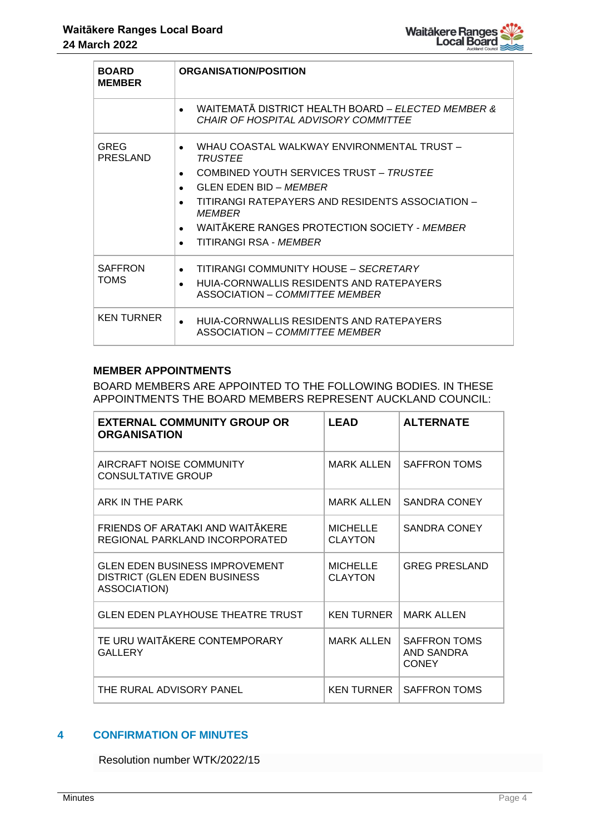| <b>BOARD</b><br><b>MEMBER</b>  | <b>ORGANISATION/POSITION</b>                                                                                                                                                                                                                                                                                                          |
|--------------------------------|---------------------------------------------------------------------------------------------------------------------------------------------------------------------------------------------------------------------------------------------------------------------------------------------------------------------------------------|
|                                | WAITEMATĂ DISTRICT HEALTH BOARD – <i>ELECTED MEMBER &amp;</i><br>CHAIR OF HOSPITAL ADVISORY COMMITTEE                                                                                                                                                                                                                                 |
| <b>GREG</b><br><b>PRESLAND</b> | WHAU COASTAL WALKWAY ENVIRONMENTAL TRUST -<br><b>TRUSTEE</b><br>COMBINED YOUTH SERVICES TRUST - TRUSTEE<br>$\bullet$<br>GLEN EDEN BID – <i>MEMBER</i><br>TITIRANGI RATEPAYERS AND RESIDENTS ASSOCIATION -<br>$\bullet$<br><b>MEMBER</b><br>WAITAKERE RANGES PROTECTION SOCIETY - MEMBER<br>$\bullet$<br>TITIRANGI RSA - <i>MEMBER</i> |
| <b>SAFFRON</b><br><b>TOMS</b>  | TITIRANGI COMMUNITY HOUSE - SECRETARY<br>$\bullet$<br>HUIA-CORNWALLIS RESIDENTS AND RATEPAYERS<br>ASSOCIATION – COMMITTEE MEMBER                                                                                                                                                                                                      |
| <b>KEN TURNER</b>              | HUIA-CORNWALLIS RESIDENTS AND RATEPAYERS<br>ASSOCIATION - COMMITTEE MEMBER                                                                                                                                                                                                                                                            |

## **MEMBER APPOINTMENTS**

BOARD MEMBERS ARE APPOINTED TO THE FOLLOWING BODIES. IN THESE APPOINTMENTS THE BOARD MEMBERS REPRESENT AUCKLAND COUNCIL:

| <b>EXTERNAL COMMUNITY GROUP OR</b><br><b>ORGANISATION</b>                                     | <b>LEAD</b>                       | <b>ALTERNATE</b>                                         |
|-----------------------------------------------------------------------------------------------|-----------------------------------|----------------------------------------------------------|
| AIRCRAFT NOISE COMMUNITY<br><b>CONSULTATIVE GROUP</b>                                         | <b>MARK ALLEN</b>                 | <b>SAFFRON TOMS</b>                                      |
| ARK IN THE PARK                                                                               | <b>MARK ALLEN</b>                 | <b>SANDRA CONEY</b>                                      |
| FRIENDS OF ARATAKI AND WAITĀKERE<br>REGIONAL PARKLAND INCORPORATED                            | <b>MICHELLE</b><br><b>CLAYTON</b> | <b>SANDRA CONEY</b>                                      |
| <b>GLEN EDEN BUSINESS IMPROVEMENT</b><br><b>DISTRICT (GLEN EDEN BUSINESS)</b><br>ASSOCIATION) | <b>MICHELLE</b><br><b>CLAYTON</b> | <b>GREG PRESLAND</b>                                     |
| <b>GLEN EDEN PLAYHOUSE THEATRE TRUST</b>                                                      | <b>KEN TURNER</b>                 | <b>MARK ALLEN</b>                                        |
| TE URU WAITĀKERE CONTEMPORARY<br>GALLERY                                                      | <b>MARK ALLEN</b>                 | <b>SAFFRON TOMS</b><br><b>AND SANDRA</b><br><b>CONEY</b> |
| THE RURAL ADVISORY PANEL                                                                      | <b>KEN TURNER</b>                 | <b>SAFFRON TOMS</b>                                      |

# **4 CONFIRMATION OF MINUTES**

Resolution number WTK/2022/15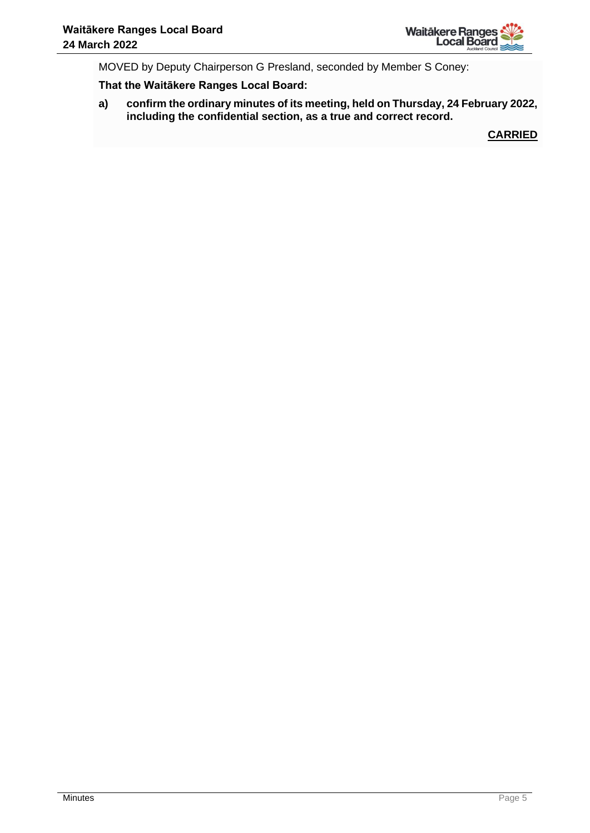

MOVED by Deputy Chairperson G Presland, seconded by Member S Coney:

**That the Waitākere Ranges Local Board:**

**a) confirm the ordinary minutes of its meeting, held on Thursday, 24 February 2022, including the confidential section, as a true and correct record.**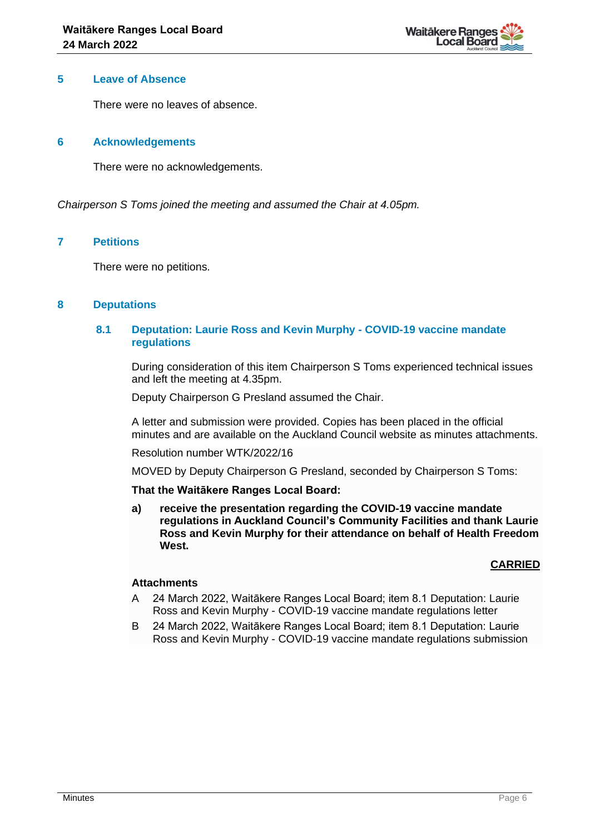

### **5 Leave of Absence**

There were no leaves of absence.

## **6 Acknowledgements**

There were no acknowledgements.

*Chairperson S Toms joined the meeting and assumed the Chair at 4.05pm.*

## **7 Petitions**

There were no petitions.

# **8 Deputations**

## **8.1 Deputation: Laurie Ross and Kevin Murphy - COVID-19 vaccine mandate regulations**

During consideration of this item Chairperson S Toms experienced technical issues and left the meeting at 4.35pm.

Deputy Chairperson G Presland assumed the Chair.

A letter and submission were provided. Copies has been placed in the official minutes and are available on the Auckland Council website as minutes attachments.

Resolution number WTK/2022/16

MOVED by Deputy Chairperson G Presland, seconded by Chairperson S Toms:

#### **That the Waitākere Ranges Local Board:**

**a) receive the presentation regarding the COVID-19 vaccine mandate regulations in Auckland Council's Community Facilities and thank Laurie Ross and Kevin Murphy for their attendance on behalf of Health Freedom West.**

# **CARRIED**

#### **Attachments**

- A 24 March 2022, Waitākere Ranges Local Board; item 8.1 Deputation: Laurie Ross and Kevin Murphy - COVID-19 vaccine mandate regulations letter
- B 24 March 2022, Waitākere Ranges Local Board; item 8.1 Deputation: Laurie Ross and Kevin Murphy - COVID-19 vaccine mandate regulations submission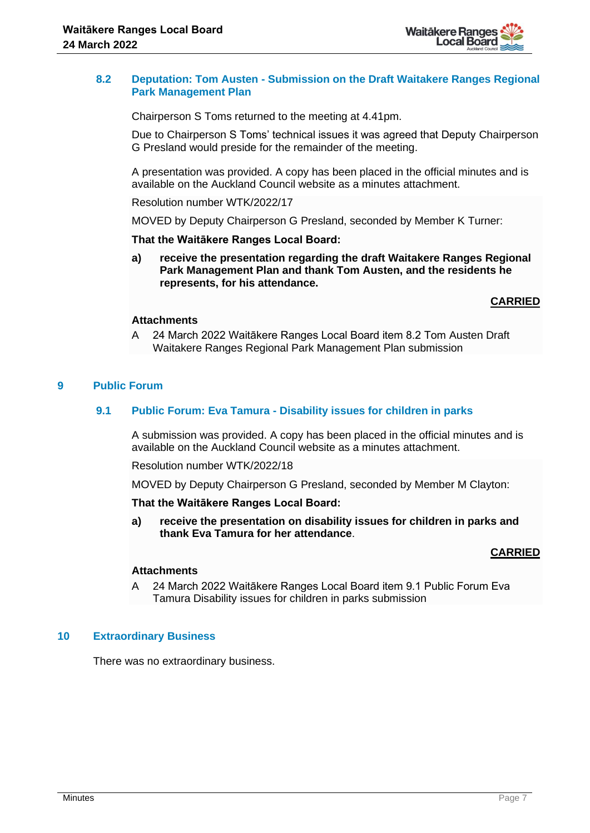

## **8.2 Deputation: Tom Austen - Submission on the Draft Waitakere Ranges Regional Park Management Plan**

Chairperson S Toms returned to the meeting at 4.41pm.

Due to Chairperson S Toms' technical issues it was agreed that Deputy Chairperson G Presland would preside for the remainder of the meeting.

A presentation was provided. A copy has been placed in the official minutes and is available on the Auckland Council website as a minutes attachment.

Resolution number WTK/2022/17

MOVED by Deputy Chairperson G Presland, seconded by Member K Turner:

**That the Waitākere Ranges Local Board:**

**a) receive the presentation regarding the draft Waitakere Ranges Regional Park Management Plan and thank Tom Austen, and the residents he represents, for his attendance.**

**CARRIED**

## **Attachments**

A 24 March 2022 Waitākere Ranges Local Board item 8.2 Tom Austen Draft Waitakere Ranges Regional Park Management Plan submission

## **9 Public Forum**

## **9.1 Public Forum: Eva Tamura - Disability issues for children in parks**

A submission was provided. A copy has been placed in the official minutes and is available on the Auckland Council website as a minutes attachment.

Resolution number WTK/2022/18

MOVED by Deputy Chairperson G Presland, seconded by Member M Clayton:

#### **That the Waitākere Ranges Local Board:**

**a) receive the presentation on disability issues for children in parks and thank Eva Tamura for her attendance**.

# **CARRIED**

#### **Attachments**

A 24 March 2022 Waitākere Ranges Local Board item 9.1 Public Forum Eva Tamura Disability issues for children in parks submission

#### **10 Extraordinary Business**

There was no extraordinary business.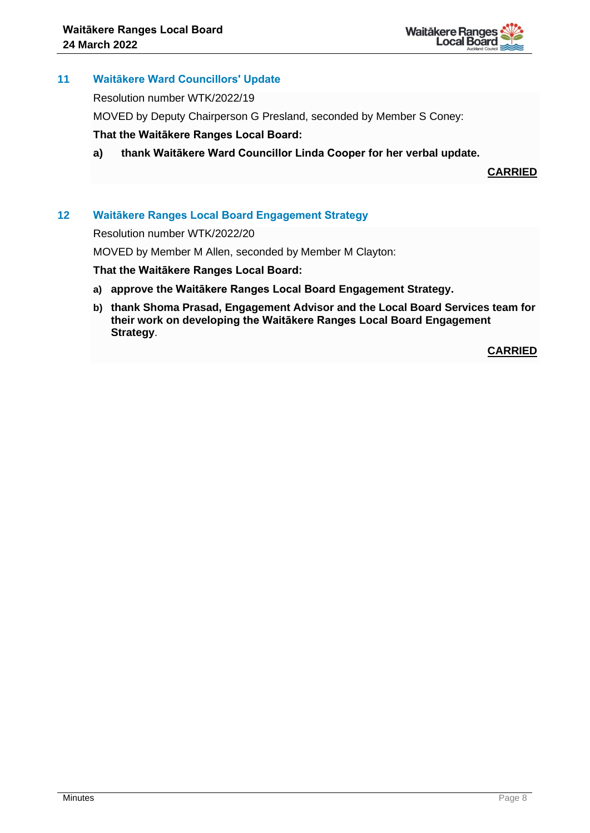

# **11 Waitākere Ward Councillors' Update**

Resolution number WTK/2022/19

MOVED by Deputy Chairperson G Presland, seconded by Member S Coney:

# **That the Waitākere Ranges Local Board:**

**a) thank Waitākere Ward Councillor Linda Cooper for her verbal update.**

**CARRIED**

# **12 Waitākere Ranges Local Board Engagement Strategy**

Resolution number WTK/2022/20

MOVED by Member M Allen, seconded by Member M Clayton:

#### **That the Waitākere Ranges Local Board:**

- **a) approve the Waitākere Ranges Local Board Engagement Strategy.**
- **b) thank Shoma Prasad, Engagement Advisor and the Local Board Services team for their work on developing the Waitākere Ranges Local Board Engagement Strategy**.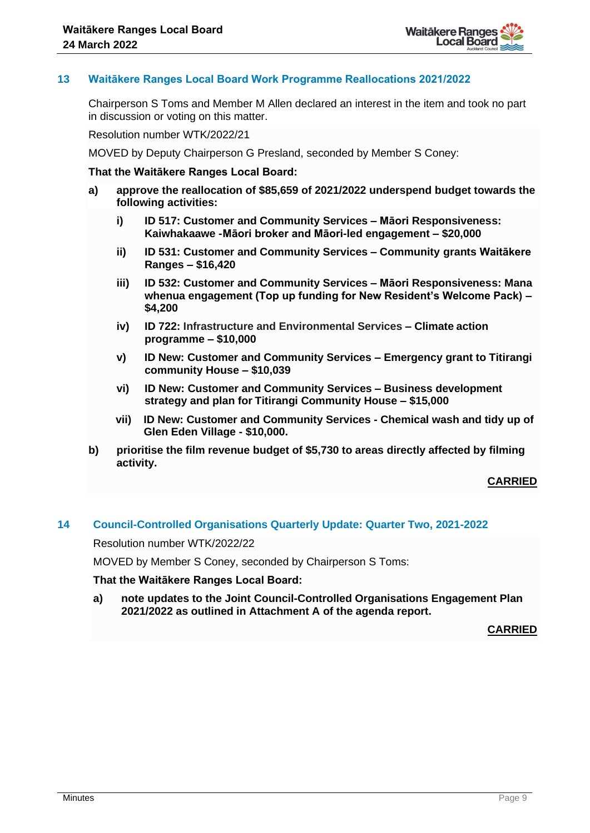

# **13 Waitākere Ranges Local Board Work Programme Reallocations 2021/2022**

Chairperson S Toms and Member M Allen declared an interest in the item and took no part in discussion or voting on this matter.

Resolution number WTK/2022/21

MOVED by Deputy Chairperson G Presland, seconded by Member S Coney:

#### **That the Waitākere Ranges Local Board:**

- **a) approve the reallocation of \$85,659 of 2021/2022 underspend budget towards the following activities:**
	- **i) ID 517: Customer and Community Services – Māori Responsiveness: Kaiwhakaawe -Māori broker and Māori-led engagement – \$20,000**
	- **ii) ID 531: Customer and Community Services – Community grants Waitākere Ranges – \$16,420**
	- **iii) ID 532: Customer and Community Services – Māori Responsiveness: Mana whenua engagement (Top up funding for New Resident's Welcome Pack) – \$4,200**
	- **iv) ID 722: Infrastructure and Environmental Services – Climate action programme – \$10,000**
	- **v) ID New: Customer and Community Services – Emergency grant to Titirangi community House – \$10,039**
	- **vi) ID New: Customer and Community Services – Business development strategy and plan for Titirangi Community House – \$15,000**
	- **vii) ID New: Customer and Community Services - Chemical wash and tidy up of Glen Eden Village - \$10,000.**
- **b) prioritise the film revenue budget of \$5,730 to areas directly affected by filming activity.**

**CARRIED**

## **14 Council-Controlled Organisations Quarterly Update: Quarter Two, 2021-2022**

Resolution number WTK/2022/22

MOVED by Member S Coney, seconded by Chairperson S Toms:

**That the Waitākere Ranges Local Board:**

**a) note updates to the Joint Council-Controlled Organisations Engagement Plan 2021/2022 as outlined in Attachment A of the agenda report.**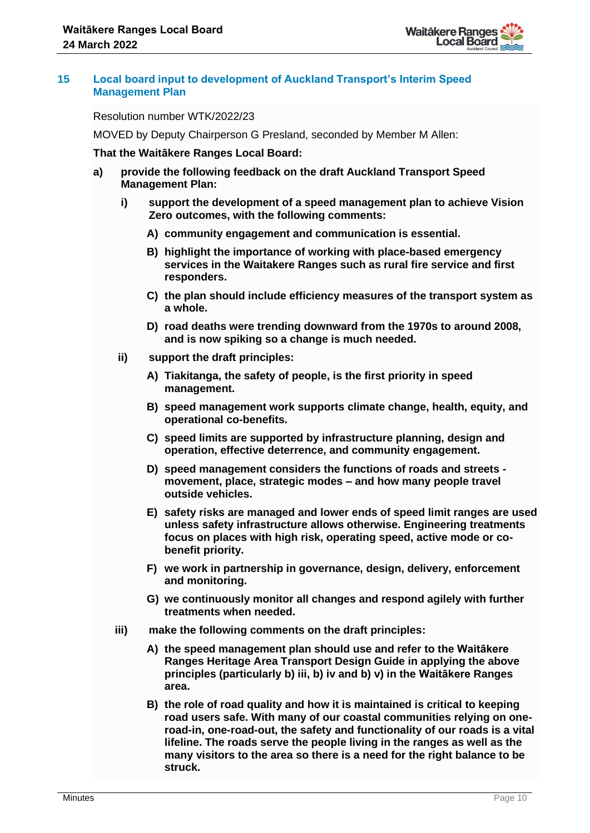

## **15 Local board input to development of Auckland Transport's Interim Speed Management Plan**

Resolution number WTK/2022/23

MOVED by Deputy Chairperson G Presland, seconded by Member M Allen:

#### **That the Waitākere Ranges Local Board:**

- **a) provide the following feedback on the draft Auckland Transport Speed Management Plan:**
	- **i) support the development of a speed management plan to achieve Vision Zero outcomes, with the following comments:** 
		- **A) community engagement and communication is essential.**
		- **B) highlight the importance of working with place-based emergency services in the Waitakere Ranges such as rural fire service and first responders.**
		- **C) the plan should include efficiency measures of the transport system as a whole.**
		- **D) road deaths were trending downward from the 1970s to around 2008, and is now spiking so a change is much needed.**
	- **ii) support the draft principles:** 
		- **A) Tiakitanga, the safety of people, is the first priority in speed management.**
		- **B) speed management work supports climate change, health, equity, and operational co-benefits.**
		- **C) speed limits are supported by infrastructure planning, design and operation, effective deterrence, and community engagement.**
		- **D) speed management considers the functions of roads and streets movement, place, strategic modes – and how many people travel outside vehicles.**
		- **E) safety risks are managed and lower ends of speed limit ranges are used unless safety infrastructure allows otherwise. Engineering treatments focus on places with high risk, operating speed, active mode or cobenefit priority.**
		- **F) we work in partnership in governance, design, delivery, enforcement and monitoring.**
		- **G) we continuously monitor all changes and respond agilely with further treatments when needed.**
	- **iii) make the following comments on the draft principles:**
		- **A) the speed management plan should use and refer to the Waitākere Ranges Heritage Area Transport Design Guide in applying the above principles (particularly b) iii, b) iv and b) v) in the Waitākere Ranges area.**
		- **B) the role of road quality and how it is maintained is critical to keeping road users safe. With many of our coastal communities relying on oneroad-in, one-road-out, the safety and functionality of our roads is a vital lifeline. The roads serve the people living in the ranges as well as the many visitors to the area so there is a need for the right balance to be struck.**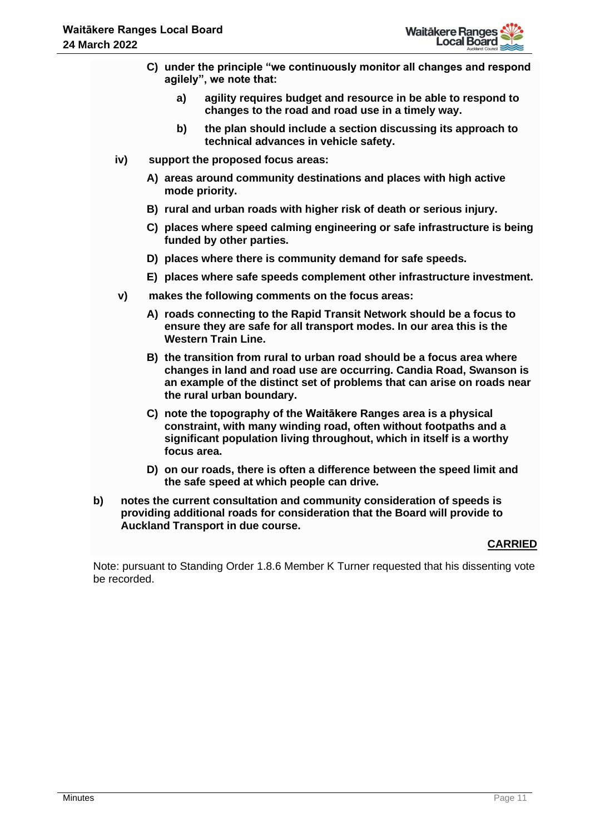- **C) under the principle "we continuously monitor all changes and respond agilely", we note that:**
	- **a) agility requires budget and resource in be able to respond to changes to the road and road use in a timely way.**
	- **b) the plan should include a section discussing its approach to technical advances in vehicle safety.**
- **iv) support the proposed focus areas:**
	- **A) areas around community destinations and places with high active mode priority.**
	- **B) rural and urban roads with higher risk of death or serious injury.**
	- **C) places where speed calming engineering or safe infrastructure is being funded by other parties.**
	- **D) places where there is community demand for safe speeds.**
	- **E) places where safe speeds complement other infrastructure investment.**
- **v) makes the following comments on the focus areas:** 
	- **A) roads connecting to the Rapid Transit Network should be a focus to ensure they are safe for all transport modes. In our area this is the Western Train Line.**
	- **B) the transition from rural to urban road should be a focus area where changes in land and road use are occurring. Candia Road, Swanson is an example of the distinct set of problems that can arise on roads near the rural urban boundary.**
	- **C) note the topography of the Waitākere Ranges area is a physical constraint, with many winding road, often without footpaths and a significant population living throughout, which in itself is a worthy focus area.**
	- **D) on our roads, there is often a difference between the speed limit and the safe speed at which people can drive.**
- **b) notes the current consultation and community consideration of speeds is providing additional roads for consideration that the Board will provide to Auckland Transport in due course.**

# **CARRIED**

Note: pursuant to Standing Order 1.8.6 Member K Turner requested that his dissenting vote be recorded.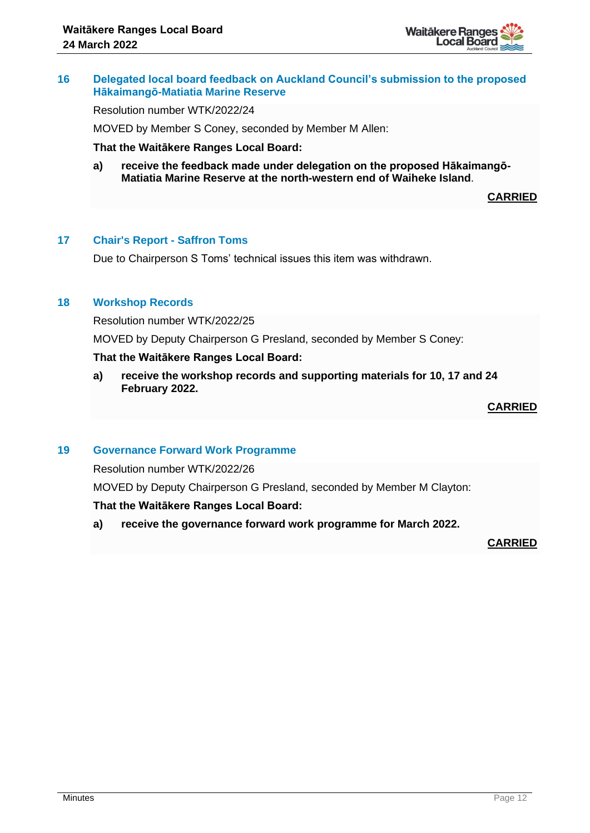

### **16 Delegated local board feedback on Auckland Council's submission to the proposed Hākaimangō-Matiatia Marine Reserve**

Resolution number WTK/2022/24

MOVED by Member S Coney, seconded by Member M Allen:

**That the Waitākere Ranges Local Board:**

**a) receive the feedback made under delegation on the proposed Hākaimangō-Matiatia Marine Reserve at the north-western end of Waiheke Island**.

**CARRIED**

#### **17 Chair's Report - Saffron Toms**

Due to Chairperson S Toms' technical issues this item was withdrawn.

#### **18 Workshop Records**

Resolution number WTK/2022/25

MOVED by Deputy Chairperson G Presland, seconded by Member S Coney:

#### **That the Waitākere Ranges Local Board:**

**a) receive the workshop records and supporting materials for 10, 17 and 24 February 2022.**

# **CARRIED**

#### **19 Governance Forward Work Programme**

Resolution number WTK/2022/26

MOVED by Deputy Chairperson G Presland, seconded by Member M Clayton:

#### **That the Waitākere Ranges Local Board:**

**a) receive the governance forward work programme for March 2022.**